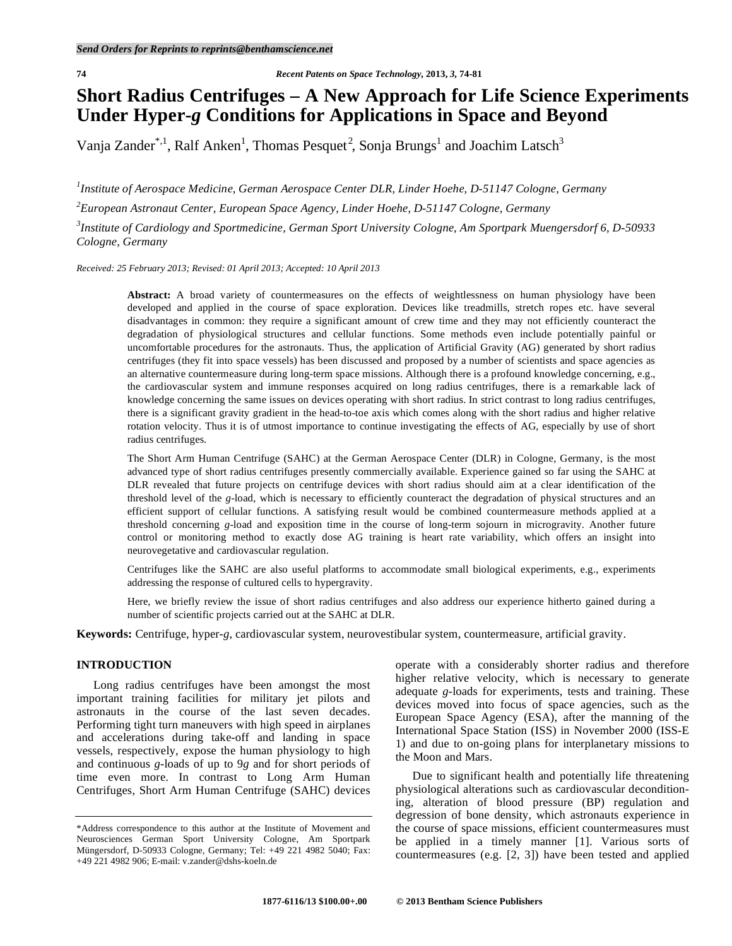# **Short Radius Centrifuges – A New Approach for Life Science Experiments Under Hyper-***g* **Conditions for Applications in Space and Beyond**

Vanja Zander<sup>\*,1</sup>, Ralf Anken<sup>1</sup>, Thomas Pesquet<sup>2</sup>, Sonja Brungs<sup>1</sup> and Joachim Latsch<sup>3</sup>

*1 Institute of Aerospace Medicine, German Aerospace Center DLR, Linder Hoehe, D-51147 Cologne, Germany* 

*2 European Astronaut Center, European Space Agency, Linder Hoehe, D-51147 Cologne, Germany* 

*3 Institute of Cardiology and Sportmedicine, German Sport University Cologne, Am Sportpark Muengersdorf 6, D-50933 Cologne, Germany* 

*Received: 25 February 2013; Revised: 01 April 2013; Accepted: 10 April 2013* 

Abstract: A broad variety of countermeasures on the effects of weightlessness on human physiology have been developed and applied in the course of space exploration. Devices like treadmills, stretch ropes etc. have several disadvantages in common: they require a significant amount of crew time and they may not efficiently counteract the degradation of physiological structures and cellular functions. Some methods even include potentially painful or uncomfortable procedures for the astronauts. Thus, the application of Artificial Gravity (AG) generated by short radius centrifuges (they fit into space vessels) has been discussed and proposed by a number of scientists and space agencies as an alternative countermeasure during long-term space missions. Although there is a profound knowledge concerning, e.g., the cardiovascular system and immune responses acquired on long radius centrifuges, there is a remarkable lack of knowledge concerning the same issues on devices operating with short radius. In strict contrast to long radius centrifuges, there is a significant gravity gradient in the head-to-toe axis which comes along with the short radius and higher relative rotation velocity. Thus it is of utmost importance to continue investigating the effects of AG, especially by use of short radius centrifuges.

The Short Arm Human Centrifuge (SAHC) at the German Aerospace Center (DLR) in Cologne, Germany, is the most advanced type of short radius centrifuges presently commercially available. Experience gained so far using the SAHC at DLR revealed that future projects on centrifuge devices with short radius should aim at a clear identification of the threshold level of the *g*-load, which is necessary to efficiently counteract the degradation of physical structures and an efficient support of cellular functions. A satisfying result would be combined countermeasure methods applied at a threshold concerning *g*-load and exposition time in the course of long-term sojourn in microgravity. Another future control or monitoring method to exactly dose AG training is heart rate variability, which offers an insight into neurovegetative and cardiovascular regulation.

Centrifuges like the SAHC are also useful platforms to accommodate small biological experiments, e.g., experiments addressing the response of cultured cells to hypergravity.

Here, we briefly review the issue of short radius centrifuges and also address our experience hitherto gained during a number of scientific projects carried out at the SAHC at DLR.

**Keywords:** Centrifuge, hyper-*g*, cardiovascular system, neurovestibular system, countermeasure, artificial gravity.

# **INTRODUCTION**

 Long radius centrifuges have been amongst the most important training facilities for military jet pilots and astronauts in the course of the last seven decades. Performing tight turn maneuvers with high speed in airplanes and accelerations during take-off and landing in space vessels, respectively, expose the human physiology to high and continuous *g*-loads of up to 9*g* and for short periods of time even more. In contrast to Long Arm Human Centrifuges, Short Arm Human Centrifuge (SAHC) devices operate with a considerably shorter radius and therefore higher relative velocity, which is necessary to generate adequate *g*-loads for experiments, tests and training. These devices moved into focus of space agencies, such as the European Space Agency (ESA), after the manning of the International Space Station (ISS) in November 2000 (ISS-E 1) and due to on-going plans for interplanetary missions to the Moon and Mars.

 Due to significant health and potentially life threatening physiological alterations such as cardiovascular deconditioning, alteration of blood pressure (BP) regulation and degression of bone density, which astronauts experience in the course of space missions, efficient countermeasures must be applied in a timely manner [1]. Various sorts of countermeasures (e.g. [2, 3]) have been tested and applied

<sup>\*</sup>Address correspondence to this author at the Institute of Movement and Neurosciences German Sport University Cologne, Am Sportpark Müngersdorf, D-50933 Cologne, Germany; Tel: +49 221 4982 5040; Fax: +49 221 4982 906; E-mail: v.zander@dshs-koeln.de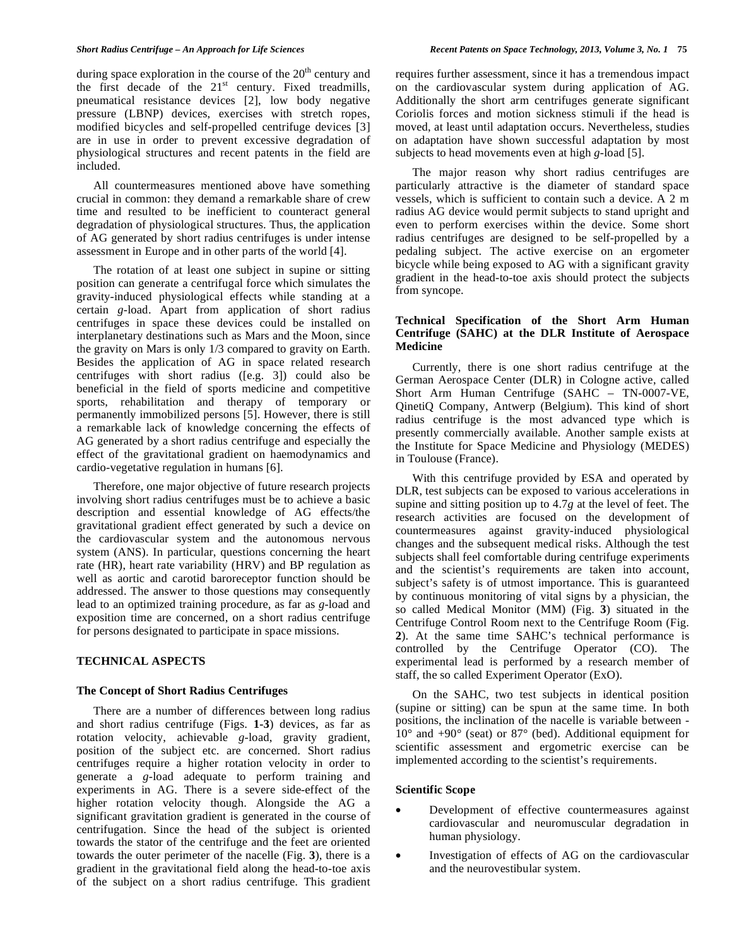during space exploration in the course of the  $20<sup>th</sup>$  century and the first decade of the  $21<sup>st</sup>$  century. Fixed treadmills, pneumatical resistance devices [2], low body negative pressure (LBNP) devices, exercises with stretch ropes, modified bicycles and self-propelled centrifuge devices [3] are in use in order to prevent excessive degradation of physiological structures and recent patents in the field are included.

 All countermeasures mentioned above have something crucial in common: they demand a remarkable share of crew time and resulted to be inefficient to counteract general degradation of physiological structures. Thus, the application of AG generated by short radius centrifuges is under intense assessment in Europe and in other parts of the world [4].

 The rotation of at least one subject in supine or sitting position can generate a centrifugal force which simulates the gravity-induced physiological effects while standing at a certain *g*-load. Apart from application of short radius centrifuges in space these devices could be installed on interplanetary destinations such as Mars and the Moon, since the gravity on Mars is only 1/3 compared to gravity on Earth. Besides the application of AG in space related research centrifuges with short radius ([e.g. 3]) could also be beneficial in the field of sports medicine and competitive sports, rehabilitation and therapy of temporary or permanently immobilized persons [5]. However, there is still a remarkable lack of knowledge concerning the effects of AG generated by a short radius centrifuge and especially the effect of the gravitational gradient on haemodynamics and cardio-vegetative regulation in humans [6].

 Therefore, one major objective of future research projects involving short radius centrifuges must be to achieve a basic description and essential knowledge of AG effects/the gravitational gradient effect generated by such a device on the cardiovascular system and the autonomous nervous system (ANS). In particular, questions concerning the heart rate (HR), heart rate variability (HRV) and BP regulation as well as aortic and carotid baroreceptor function should be addressed. The answer to those questions may consequently lead to an optimized training procedure, as far as *g*-load and exposition time are concerned, on a short radius centrifuge for persons designated to participate in space missions.

# **TECHNICAL ASPECTS**

# **The Concept of Short Radius Centrifuges**

 There are a number of differences between long radius and short radius centrifuge (Figs. **1-3**) devices, as far as rotation velocity, achievable *g*-load, gravity gradient, position of the subject etc. are concerned. Short radius centrifuges require a higher rotation velocity in order to generate a *g*-load adequate to perform training and experiments in AG. There is a severe side-effect of the higher rotation velocity though. Alongside the AG a significant gravitation gradient is generated in the course of centrifugation. Since the head of the subject is oriented towards the stator of the centrifuge and the feet are oriented towards the outer perimeter of the nacelle (Fig. **3**), there is a gradient in the gravitational field along the head-to-toe axis of the subject on a short radius centrifuge. This gradient requires further assessment, since it has a tremendous impact on the cardiovascular system during application of AG. Additionally the short arm centrifuges generate significant Coriolis forces and motion sickness stimuli if the head is moved, at least until adaptation occurs. Nevertheless, studies on adaptation have shown successful adaptation by most subjects to head movements even at high *g*-load [5].

 The major reason why short radius centrifuges are particularly attractive is the diameter of standard space vessels, which is sufficient to contain such a device. A 2 m radius AG device would permit subjects to stand upright and even to perform exercises within the device. Some short radius centrifuges are designed to be self-propelled by a pedaling subject. The active exercise on an ergometer bicycle while being exposed to AG with a significant gravity gradient in the head-to-toe axis should protect the subjects from syncope.

# **Technical Specification of the Short Arm Human Centrifuge (SAHC) at the DLR Institute of Aerospace Medicine**

 Currently, there is one short radius centrifuge at the German Aerospace Center (DLR) in Cologne active, called Short Arm Human Centrifuge (SAHC – TN-0007-VE, QinetiQ Company, Antwerp (Belgium). This kind of short radius centrifuge is the most advanced type which is presently commercially available. Another sample exists at the Institute for Space Medicine and Physiology (MEDES) in Toulouse (France).

 With this centrifuge provided by ESA and operated by DLR, test subjects can be exposed to various accelerations in supine and sitting position up to 4.7*g* at the level of feet. The research activities are focused on the development of countermeasures against gravity-induced physiological changes and the subsequent medical risks. Although the test subjects shall feel comfortable during centrifuge experiments and the scientist's requirements are taken into account, subject's safety is of utmost importance. This is guaranteed by continuous monitoring of vital signs by a physician, the so called Medical Monitor (MM) (Fig. **3**) situated in the Centrifuge Control Room next to the Centrifuge Room (Fig. **2**). At the same time SAHC's technical performance is controlled by the Centrifuge Operator (CO). The experimental lead is performed by a research member of staff, the so called Experiment Operator (ExO).

 On the SAHC, two test subjects in identical position (supine or sitting) can be spun at the same time. In both positions, the inclination of the nacelle is variable between -  $10^{\circ}$  and  $+90^{\circ}$  (seat) or 87° (bed). Additional equipment for scientific assessment and ergometric exercise can be implemented according to the scientist's requirements.

## **Scientific Scope**

- Development of effective countermeasures against cardiovascular and neuromuscular degradation in human physiology.
- Investigation of effects of AG on the cardiovascular and the neurovestibular system.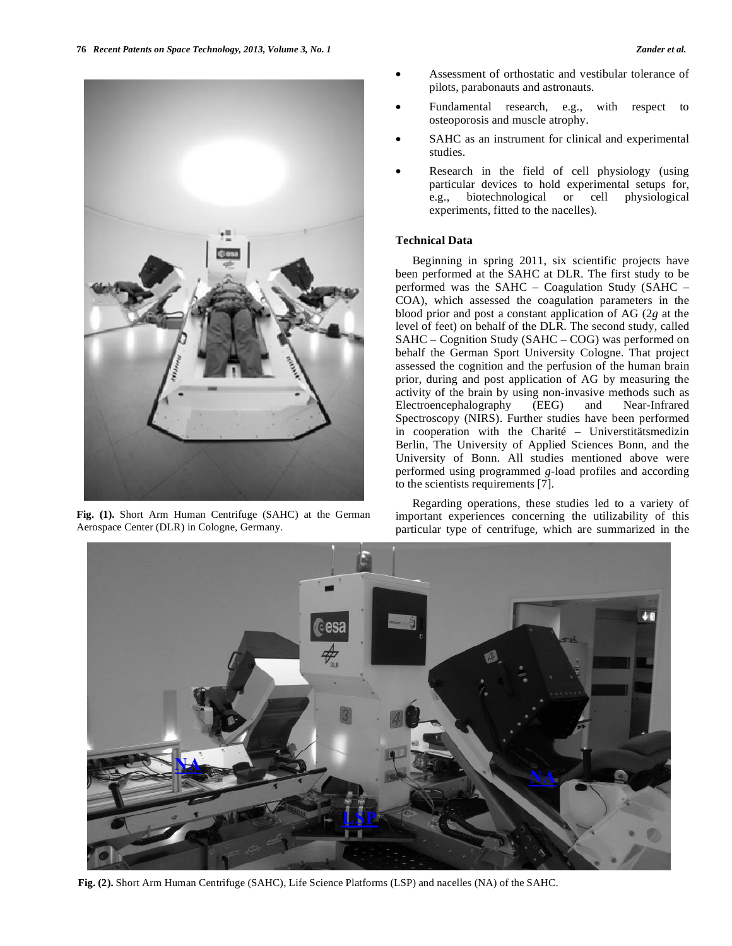

**Fig. (1).** Short Arm Human Centrifuge (SAHC) at the German Aerospace Center (DLR) in Cologne, Germany.

- Assessment of orthostatic and vestibular tolerance of pilots, parabonauts and astronauts.
- Fundamental research, e.g., with respect to osteoporosis and muscle atrophy.
- SAHC as an instrument for clinical and experimental studies.
- Research in the field of cell physiology (using particular devices to hold experimental setups for, e.g., biotechnological or cell physiological experiments, fitted to the nacelles).

## **Technical Data**

 Beginning in spring 2011, six scientific projects have been performed at the SAHC at DLR. The first study to be performed was the SAHC – Coagulation Study (SAHC – COA), which assessed the coagulation parameters in the blood prior and post a constant application of AG (2*g* at the level of feet) on behalf of the DLR. The second study, called SAHC – Cognition Study (SAHC – COG) was performed on behalf the German Sport University Cologne. That project assessed the cognition and the perfusion of the human brain prior, during and post application of AG by measuring the activity of the brain by using non-invasive methods such as Electroencephalography (EEG) and Near-Infrared Spectroscopy (NIRS). Further studies have been performed in cooperation with the Charité – Universtitätsmedizin Berlin, The University of Applied Sciences Bonn, and the University of Bonn. All studies mentioned above were performed using programmed *g*-load profiles and according to the scientists requirements [7].

 Regarding operations, these studies led to a variety of important experiences concerning the utilizability of this particular type of centrifuge, which are summarized in the



**Fig. (2).** Short Arm Human Centrifuge (SAHC), Life Science Platforms (LSP) and nacelles (NA) of the SAHC.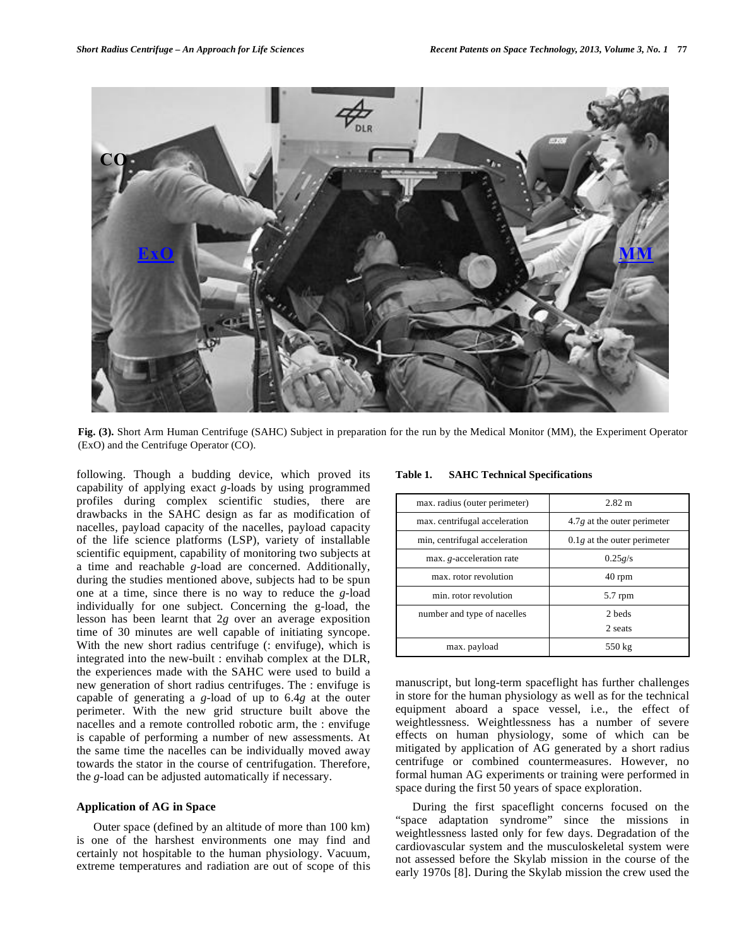

**Fig. (3).** Short Arm Human Centrifuge (SAHC) Subject in preparation for the run by the Medical Monitor (MM), the Experiment Operator (ExO) and the Centrifuge Operator (CO).

following. Though a budding device, which proved its capability of applying exact *g*-loads by using programmed profiles during complex scientific studies, there are drawbacks in the SAHC design as far as modification of nacelles, payload capacity of the nacelles, payload capacity of the life science platforms (LSP), variety of installable scientific equipment, capability of monitoring two subjects at a time and reachable *g*-load are concerned. Additionally, during the studies mentioned above, subjects had to be spun one at a time, since there is no way to reduce the *g*-load individually for one subject. Concerning the g-load, the lesson has been learnt that 2*g* over an average exposition time of 30 minutes are well capable of initiating syncope. With the new short radius centrifuge (: envifuge), which is integrated into the new-built : envihab complex at the DLR, the experiences made with the SAHC were used to build a new generation of short radius centrifuges. The : envifuge is capable of generating a *g*-load of up to 6.4*g* at the outer perimeter. With the new grid structure built above the nacelles and a remote controlled robotic arm, the : envifuge is capable of performing a number of new assessments. At the same time the nacelles can be individually moved away towards the stator in the course of centrifugation. Therefore, the *g*-load can be adjusted automatically if necessary.

## **Application of AG in Space**

 Outer space (defined by an altitude of more than 100 km) is one of the harshest environments one may find and certainly not hospitable to the human physiology. Vacuum, extreme temperatures and radiation are out of scope of this

| Table 1. | <b>SAHC Technical Specifications</b> |  |
|----------|--------------------------------------|--|
|          |                                      |  |

| max. radius (outer perimeter) | $2.82 \text{ m}$              |
|-------------------------------|-------------------------------|
| max. centrifugal acceleration | $4.7g$ at the outer perimeter |
| min, centrifugal acceleration | $0.1g$ at the outer perimeter |
| max. g-acceleration rate      | 0.25g/s                       |
| max, rotor revolution         | $40$ rpm                      |
| min. rotor revolution         | $5.7$ rpm                     |
| number and type of nacelles   | 2 beds                        |
|                               | 2 seats                       |
| max. payload                  | 550 kg                        |

manuscript, but long-term spaceflight has further challenges in store for the human physiology as well as for the technical equipment aboard a space vessel, i.e., the effect of weightlessness. Weightlessness has a number of severe effects on human physiology, some of which can be mitigated by application of AG generated by a short radius centrifuge or combined countermeasures. However, no formal human AG experiments or training were performed in space during the first 50 years of space exploration.

 During the first spaceflight concerns focused on the "space adaptation syndrome" since the missions in weightlessness lasted only for few days. Degradation of the cardiovascular system and the musculoskeletal system were not assessed before the Skylab mission in the course of the early 1970s [8]. During the Skylab mission the crew used the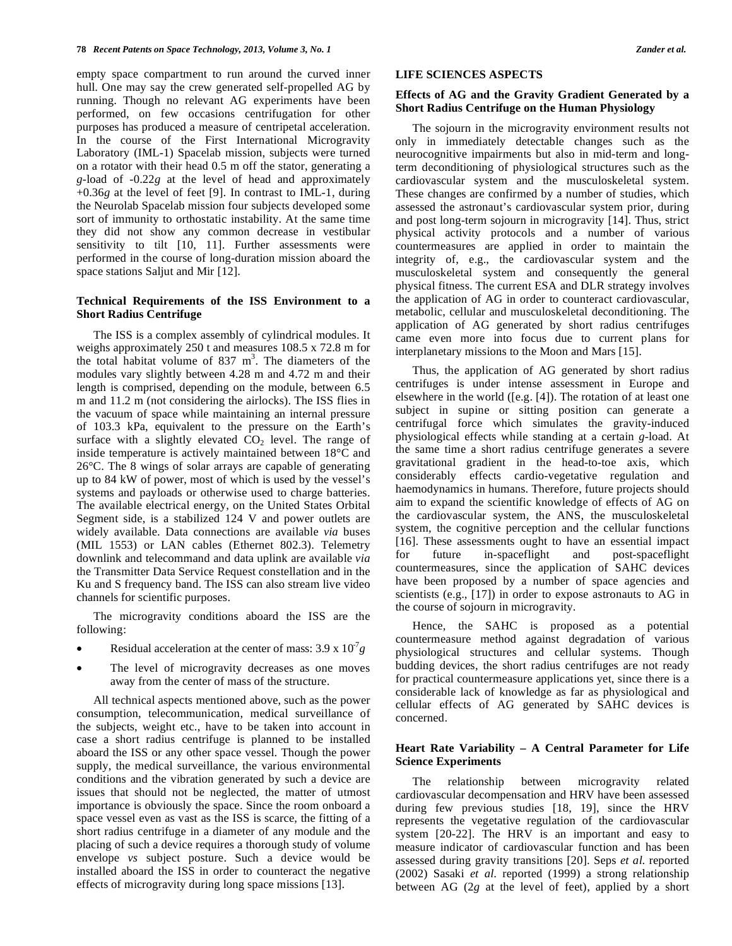empty space compartment to run around the curved inner hull. One may say the crew generated self-propelled AG by running. Though no relevant AG experiments have been performed, on few occasions centrifugation for other purposes has produced a measure of centripetal acceleration. In the course of the First International Microgravity Laboratory (IML-1) Spacelab mission, subjects were turned on a rotator with their head 0.5 m off the stator, generating a *g*-load of -0.22*g* at the level of head and approximately +0.36*g* at the level of feet [9]. In contrast to IML-1, during the Neurolab Spacelab mission four subjects developed some sort of immunity to orthostatic instability. At the same time they did not show any common decrease in vestibular sensitivity to tilt [10, 11]. Further assessments were performed in the course of long-duration mission aboard the space stations Saljut and Mir [12].

# **Technical Requirements of the ISS Environment to a Short Radius Centrifuge**

 The ISS is a complex assembly of cylindrical modules. It weighs approximately 250 t and measures 108.5 x 72.8 m for the total habitat volume of  $837 \text{ m}^3$ . The diameters of the modules vary slightly between 4.28 m and 4.72 m and their length is comprised, depending on the module, between 6.5 m and 11.2 m (not considering the airlocks). The ISS flies in the vacuum of space while maintaining an internal pressure of 103.3 kPa, equivalent to the pressure on the Earth's surface with a slightly elevated  $CO<sub>2</sub>$  level. The range of inside temperature is actively maintained between 18°C and 26°C. The 8 wings of solar arrays are capable of generating up to 84 kW of power, most of which is used by the vessel's systems and payloads or otherwise used to charge batteries. The available electrical energy, on the United States Orbital Segment side, is a stabilized 124 V and power outlets are widely available. Data connections are available *via* buses (MIL 1553) or LAN cables (Ethernet 802.3). Telemetry downlink and telecommand and data uplink are available *via*  the Transmitter Data Service Request constellation and in the Ku and S frequency band. The ISS can also stream live video channels for scientific purposes.

 The microgravity conditions aboard the ISS are the following:

- Residual acceleration at the center of mass:  $3.9 \times 10^7 g$
- The level of microgravity decreases as one moves away from the center of mass of the structure.

 All technical aspects mentioned above, such as the power consumption, telecommunication, medical surveillance of the subjects, weight etc., have to be taken into account in case a short radius centrifuge is planned to be installed aboard the ISS or any other space vessel. Though the power supply, the medical surveillance, the various environmental conditions and the vibration generated by such a device are issues that should not be neglected, the matter of utmost importance is obviously the space. Since the room onboard a space vessel even as vast as the ISS is scarce, the fitting of a short radius centrifuge in a diameter of any module and the placing of such a device requires a thorough study of volume envelope *vs* subject posture. Such a device would be installed aboard the ISS in order to counteract the negative effects of microgravity during long space missions [13].

## **LIFE SCIENCES ASPECTS**

# **Effects of AG and the Gravity Gradient Generated by a Short Radius Centrifuge on the Human Physiology**

 The sojourn in the microgravity environment results not only in immediately detectable changes such as the neurocognitive impairments but also in mid-term and longterm deconditioning of physiological structures such as the cardiovascular system and the musculoskeletal system. These changes are confirmed by a number of studies, which assessed the astronaut's cardiovascular system prior, during and post long-term sojourn in microgravity [14]. Thus, strict physical activity protocols and a number of various countermeasures are applied in order to maintain the integrity of, e.g., the cardiovascular system and the musculoskeletal system and consequently the general physical fitness. The current ESA and DLR strategy involves the application of AG in order to counteract cardiovascular, metabolic, cellular and musculoskeletal deconditioning. The application of AG generated by short radius centrifuges came even more into focus due to current plans for interplanetary missions to the Moon and Mars [15].

 Thus, the application of AG generated by short radius centrifuges is under intense assessment in Europe and elsewhere in the world ([e.g. [4]). The rotation of at least one subject in supine or sitting position can generate a centrifugal force which simulates the gravity-induced physiological effects while standing at a certain *g*-load. At the same time a short radius centrifuge generates a severe gravitational gradient in the head-to-toe axis, which considerably effects cardio-vegetative regulation and haemodynamics in humans. Therefore, future projects should aim to expand the scientific knowledge of effects of AG on the cardiovascular system, the ANS, the musculoskeletal system, the cognitive perception and the cellular functions [16]. These assessments ought to have an essential impact for future in-spaceflight and post-spaceflight countermeasures, since the application of SAHC devices have been proposed by a number of space agencies and scientists (e.g., [17]) in order to expose astronauts to AG in the course of sojourn in microgravity.

 Hence, the SAHC is proposed as a potential countermeasure method against degradation of various physiological structures and cellular systems. Though budding devices, the short radius centrifuges are not ready for practical countermeasure applications yet, since there is a considerable lack of knowledge as far as physiological and cellular effects of AG generated by SAHC devices is concerned.

# **Heart Rate Variability – A Central Parameter for Life Science Experiments**

 The relationship between microgravity related cardiovascular decompensation and HRV have been assessed during few previous studies [18, 19], since the HRV represents the vegetative regulation of the cardiovascular system [20-22]. The HRV is an important and easy to measure indicator of cardiovascular function and has been assessed during gravity transitions [20]. Seps *et al*. reported (2002) Sasaki *et al*. reported (1999) a strong relationship between AG (2*g* at the level of feet), applied by a short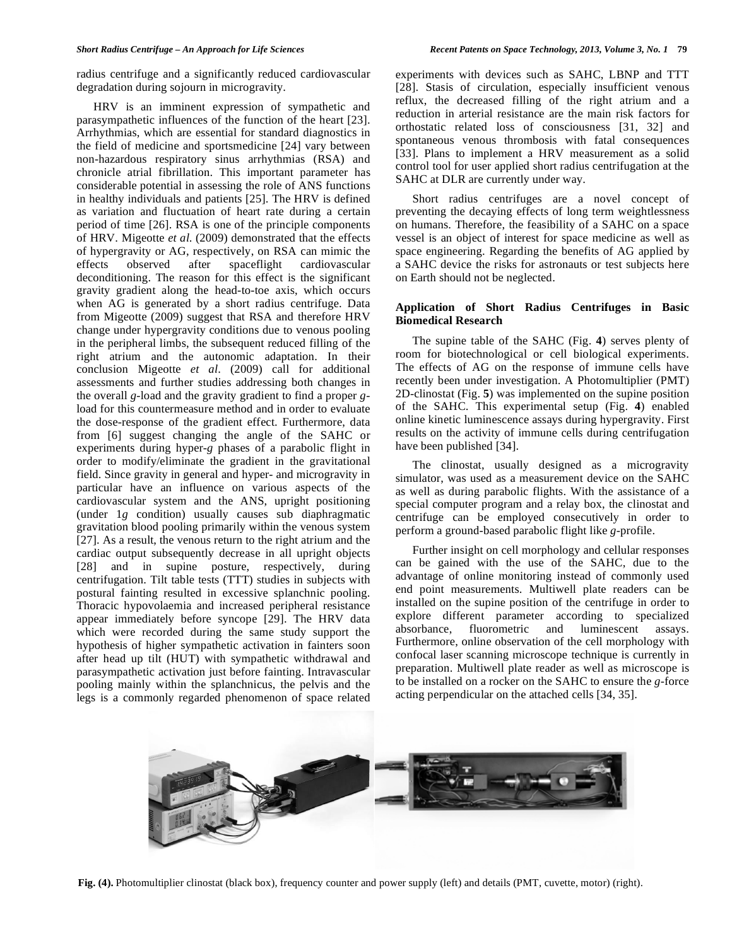radius centrifuge and a significantly reduced cardiovascular degradation during sojourn in microgravity.

 HRV is an imminent expression of sympathetic and parasympathetic influences of the function of the heart [23]. Arrhythmias, which are essential for standard diagnostics in the field of medicine and sportsmedicine [24] vary between non-hazardous respiratory sinus arrhythmias (RSA) and chronicle atrial fibrillation. This important parameter has considerable potential in assessing the role of ANS functions in healthy individuals and patients [25]. The HRV is defined as variation and fluctuation of heart rate during a certain period of time [26]. RSA is one of the principle components of HRV. Migeotte *et al*. (2009) demonstrated that the effects of hypergravity or AG, respectively, on RSA can mimic the effects observed after spaceflight cardiovascular deconditioning. The reason for this effect is the significant gravity gradient along the head-to-toe axis, which occurs when AG is generated by a short radius centrifuge. Data from Migeotte (2009) suggest that RSA and therefore HRV change under hypergravity conditions due to venous pooling in the peripheral limbs, the subsequent reduced filling of the right atrium and the autonomic adaptation. In their conclusion Migeotte *et al*. (2009) call for additional assessments and further studies addressing both changes in the overall *g*-load and the gravity gradient to find a proper *g*load for this countermeasure method and in order to evaluate the dose-response of the gradient effect. Furthermore, data from [6] suggest changing the angle of the SAHC or experiments during hyper-*g* phases of a parabolic flight in order to modify/eliminate the gradient in the gravitational field. Since gravity in general and hyper- and microgravity in particular have an influence on various aspects of the cardiovascular system and the ANS, upright positioning (under 1*g* condition) usually causes sub diaphragmatic gravitation blood pooling primarily within the venous system [27]. As a result, the venous return to the right atrium and the cardiac output subsequently decrease in all upright objects [28] and in supine posture, respectively, during centrifugation. Tilt table tests (TTT) studies in subjects with postural fainting resulted in excessive splanchnic pooling. Thoracic hypovolaemia and increased peripheral resistance appear immediately before syncope [29]. The HRV data which were recorded during the same study support the hypothesis of higher sympathetic activation in fainters soon after head up tilt (HUT) with sympathetic withdrawal and parasympathetic activation just before fainting. Intravascular pooling mainly within the splanchnicus, the pelvis and the legs is a commonly regarded phenomenon of space related

experiments with devices such as SAHC, LBNP and TTT [28]. Stasis of circulation, especially insufficient venous reflux, the decreased filling of the right atrium and a reduction in arterial resistance are the main risk factors for orthostatic related loss of consciousness [31, 32] and spontaneous venous thrombosis with fatal consequences [33]. Plans to implement a HRV measurement as a solid control tool for user applied short radius centrifugation at the SAHC at DLR are currently under way.

 Short radius centrifuges are a novel concept of preventing the decaying effects of long term weightlessness on humans. Therefore, the feasibility of a SAHC on a space vessel is an object of interest for space medicine as well as space engineering. Regarding the benefits of AG applied by a SAHC device the risks for astronauts or test subjects here on Earth should not be neglected.

# **Application of Short Radius Centrifuges in Basic Biomedical Research**

 The supine table of the SAHC (Fig. **4**) serves plenty of room for biotechnological or cell biological experiments. The effects of AG on the response of immune cells have recently been under investigation. A Photomultiplier (PMT) 2D-clinostat (Fig. **5**) was implemented on the supine position of the SAHC. This experimental setup (Fig. **4**) enabled online kinetic luminescence assays during hypergravity. First results on the activity of immune cells during centrifugation have been published [34].

 The clinostat, usually designed as a microgravity simulator, was used as a measurement device on the SAHC as well as during parabolic flights. With the assistance of a special computer program and a relay box, the clinostat and centrifuge can be employed consecutively in order to perform a ground-based parabolic flight like *g*-profile.

 Further insight on cell morphology and cellular responses can be gained with the use of the SAHC, due to the advantage of online monitoring instead of commonly used end point measurements. Multiwell plate readers can be installed on the supine position of the centrifuge in order to explore different parameter according to specialized absorbance, fluorometric and luminescent assays. Furthermore, online observation of the cell morphology with confocal laser scanning microscope technique is currently in preparation. Multiwell plate reader as well as microscope is to be installed on a rocker on the SAHC to ensure the *g*-force acting perpendicular on the attached cells [34, 35].



**Fig. (4).** Photomultiplier clinostat (black box), frequency counter and power supply (left) and details (PMT, cuvette, motor) (right).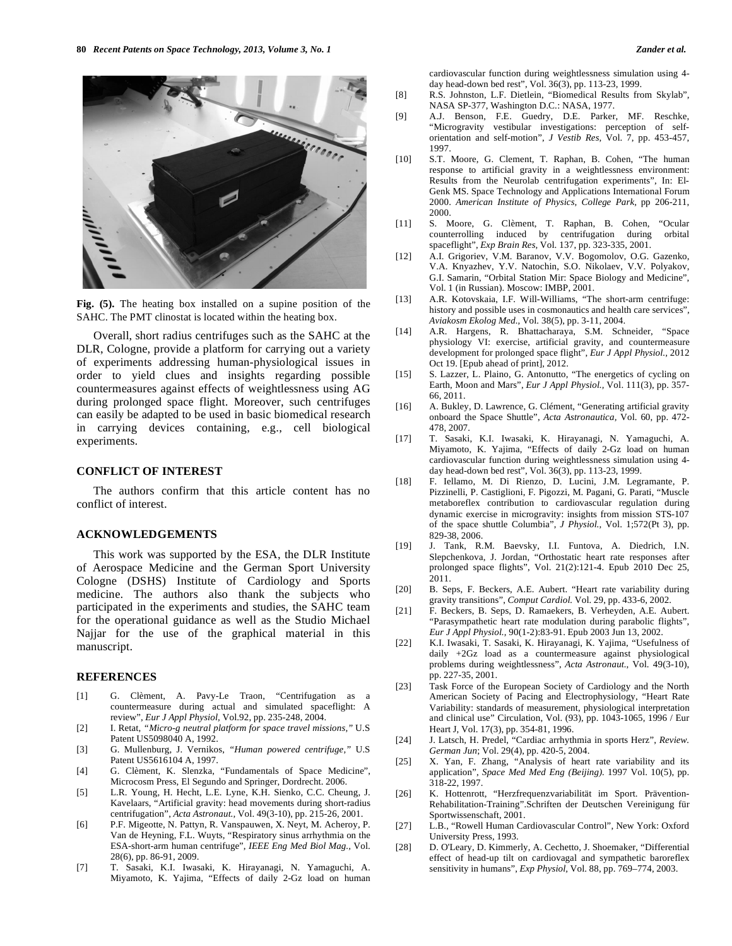

**Fig. (5).** The heating box installed on a supine position of the SAHC. The PMT clinostat is located within the heating box.

 Overall, short radius centrifuges such as the SAHC at the DLR, Cologne, provide a platform for carrying out a variety of experiments addressing human-physiological issues in order to yield clues and insights regarding possible countermeasures against effects of weightlessness using AG during prolonged space flight. Moreover, such centrifuges can easily be adapted to be used in basic biomedical research in carrying devices containing, e.g., cell biological experiments.

### **CONFLICT OF INTEREST**

 The authors confirm that this article content has no conflict of interest.

#### **ACKNOWLEDGEMENTS**

 This work was supported by the ESA, the DLR Institute of Aerospace Medicine and the German Sport University Cologne (DSHS) Institute of Cardiology and Sports medicine. The authors also thank the subjects who participated in the experiments and studies, the SAHC team for the operational guidance as well as the Studio Michael Najjar for the use of the graphical material in this manuscript.

## **REFERENCES**

- [1] G. Clèment, A. Pavy-Le Traon, "Centrifugation as a countermeasure during actual and simulated spaceflight: A review", *Eur J Appl Physiol,* Vol.92, pp. 235-248, 2004.
- [2] I. Retat, *"Micro-g neutral platform for space travel missions,"* U.S Patent US5098040 A, 1992.
- [3] G. Mullenburg, J. Vernikos, *"Human powered centrifuge,"* U.S Patent US5616104 A, 1997.
- [4] G. Clèment, K. Slenzka, "Fundamentals of Space Medicine", Microcosm Press, El Segundo and Springer, Dordrecht. 2006.
- [5] L.R. Young, H. Hecht, L.E. Lyne, K.H. Sienko, C.C. Cheung, J. Kavelaars, "Artificial gravity: head movements during short-radius centrifugation", *Acta Astronaut.,* Vol. 49(3-10), pp. 215-26, 2001.
- [6] P.F. Migeotte, N. Pattyn, R. Vanspauwen, X. Neyt, M. Acheroy, P. Van de Heyning, F.L. Wuyts, "Respiratory sinus arrhythmia on the ESA-short-arm human centrifuge", *IEEE Eng Med Biol Mag.,* Vol. 28(6), pp. 86-91, 2009.
- [7] T. Sasaki, K.I. Iwasaki, K. Hirayanagi, N. Yamaguchi, A. Miyamoto, K. Yajima, "Effects of daily 2-Gz load on human

cardiovascular function during weightlessness simulation using 4 day head-down bed rest", Vol. 36(3), pp. 113-23, 1999.

- [8] R.S. Johnston, L.F. Dietlein, "Biomedical Results from Skylab", NASA SP-377, Washington D.C.: NASA, 1977.
- [9] A.J. Benson, F.E. Guedry, D.E. Parker, MF. Reschke, "Microgravity vestibular investigations: perception of selforientation and self-motion", *J Vestib Res,* Vol. 7, pp. 453-457, 1997.
- [10] S.T. Moore, G. Clement, T. Raphan, B. Cohen, "The human response to artificial gravity in a weightlessness environment: Results from the Neurolab centrifugation experiments", In: El-Genk MS. Space Technology and Applications International Forum 2000. *American Institute of Physics, College Park,* pp 206-211, 2000.
- [11] S. Moore, G. Clèment, T. Raphan, B. Cohen, "Ocular counterrolling induced by centrifugation during orbital spaceflight", *Exp Brain Res,* Vol. 137, pp. 323-335, 2001.
- [12] A.I. Grigoriev, V.M. Baranov, V.V. Bogomolov, O.G. Gazenko, V.A. Knyazhev, Y.V. Natochin, S.O. Nikolaev, V.V. Polyakov, G.I. Samarin, "Orbital Station Mir: Space Biology and Medicine", Vol. 1 (in Russian). Moscow: IMBP, 2001.
- [13] A.R. Kotovskaia, I.F. Will-Williams, "The short-arm centrifuge: history and possible uses in cosmonautics and health care services", *Aviakosm Ekolog Med.,* Vol. 38(5), pp. 3-11, 2004.
- [14] A.R. Hargens, R. Bhattacharaya, S.M. Schneider, "Space physiology VI: exercise, artificial gravity, and countermeasure development for prolonged space flight", *Eur J Appl Physiol.,* 2012 Oct 19. [Epub ahead of print], 2012.
- [15] S. Lazzer, L. Plaino, G. Antonutto, "The energetics of cycling on Earth, Moon and Mars", *Eur J Appl Physiol.,* Vol. 111(3), pp. 357- 66, 2011.
- [16] A. Bukley, D. Lawrence, G. Clément, "Generating artificial gravity onboard the Space Shuttle", *Acta Astronautica,* Vol. 60, pp. 472- 478, 2007.
- [17] T. Sasaki, K.I. Iwasaki, K. Hirayanagi, N. Yamaguchi, A. Miyamoto, K. Yajima, "Effects of daily 2-Gz load on human cardiovascular function during weightlessness simulation using 4 day head-down bed rest", Vol. 36(3), pp. 113-23, 1999.
- [18] F. Iellamo, M. Di Rienzo, D. Lucini, J.M. Legramante, P. Pizzinelli, P. Castiglioni, F. Pigozzi, M. Pagani, G. Parati, "Muscle metaboreflex contribution to cardiovascular regulation during dynamic exercise in microgravity: insights from mission STS-107 of the space shuttle Columbia", *J Physiol.,* Vol. 1;572(Pt 3), pp. 829-38, 2006.
- [19] J. Tank, R.M. Baevsky, I.I. Funtova, A. Diedrich, I.N. Slepchenkova, J. Jordan, "Orthostatic heart rate responses after prolonged space flights", Vol. 21(2):121-4. Epub 2010 Dec 25, 2011.
- [20] B. Seps, F. Beckers, A.E. Aubert. "Heart rate variability during gravity transitions", *Comput Cardiol.* Vol. 29, pp. 433-6, 2002.
- [21] F. Beckers, B. Seps, D. Ramaekers, B. Verheyden, A.E. Aubert. "Parasympathetic heart rate modulation during parabolic flights", *Eur J Appl Physiol.,* 90(1-2):83-91. Epub 2003 Jun 13, 2002.
- [22] K.I. Iwasaki, T. Sasaki, K. Hirayanagi, K. Yajima, "Usefulness of daily +2Gz load as a countermeasure against physiological problems during weightlessness", *Acta Astronaut.,* Vol. 49(3-10), pp. 227-35, 2001.
- [23] Task Force of the European Society of Cardiology and the North American Society of Pacing and Electrophysiology, "Heart Rate Variability: standards of measurement, physiological interpretation and clinical use" Circulation, Vol. (93), pp. 1043-1065, 1996 / Eur Heart J, Vol. 17(3), pp. 354-81, 1996.
- [24] J. Latsch, H. Predel, "Cardiac arrhythmia in sports Herz", *Review. German Jun*; Vol. 29(4), pp. 420-5, 2004.
- [25] X. Yan, F. Zhang, "Analysis of heart rate variability and its application", *Space Med Med Eng (Beijing).* 1997 Vol. 10(5), pp. 318-22, 1997.
- [26] K. Hottenrott, "Herzfrequenzvariabilität im Sport. Prävention-Rehabilitation-Training".Schriften der Deutschen Vereinigung für Sportwissenschaft, 2001.
- [27] L.B., "Rowell Human Cardiovascular Control", New York: Oxford University Press, 1993.
- [28] D. O'Leary, D. Kimmerly, A. Cechetto, J. Shoemaker, "Differential effect of head-up tilt on cardiovagal and sympathetic baroreflex sensitivity in humans", *Exp Physiol,* Vol. 88, pp. 769–774, 2003.